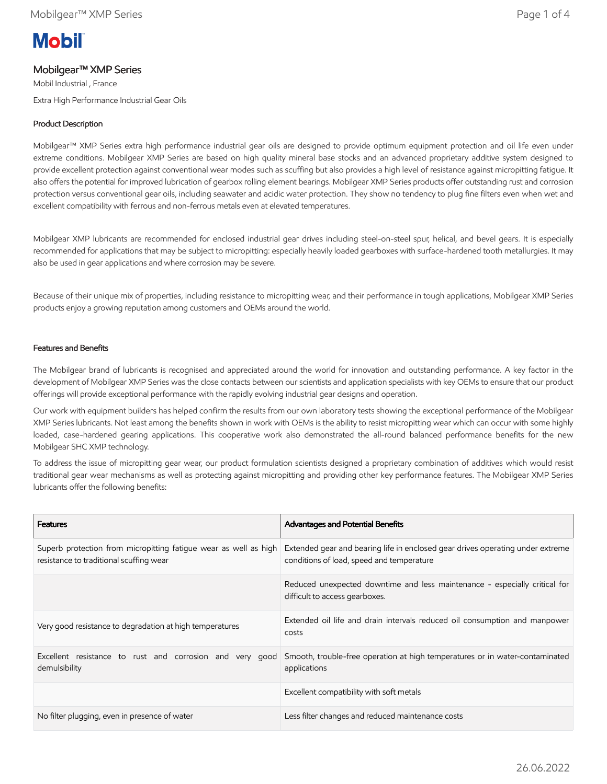# **Mobil**

# Mobilgear™ XMP Series

Mobil Industrial , France Extra High Performance Industrial Gear Oils

## Product Description

Mobilgear™ XMP Series extra high performance industrial gear oils are designed to provide optimum equipment protection and oil life even under extreme conditions. Mobilgear XMP Series are based on high quality mineral base stocks and an advanced proprietary additive system designed to provide excellent protection against conventional wear modes such as scuffing but also provides a high level of resistance against micropitting fatigue. It also offers the potential for improved lubrication of gearbox rolling element bearings. Mobilgear XMP Series products offer outstanding rust and corrosion protection versus conventional gear oils, including seawater and acidic water protection. They show no tendency to plug fine filters even when wet and excellent compatibility with ferrous and non-ferrous metals even at elevated temperatures.

Mobilgear XMP lubricants are recommended for enclosed industrial gear drives including steel-on-steel spur, helical, and bevel gears. It is especially recommended for applications that may be subject to micropitting: especially heavily loaded gearboxes with surface-hardened tooth metallurgies. It may also be used in gear applications and where corrosion may be severe.

Because of their unique mix of properties, including resistance to micropitting wear, and their performance in tough applications, Mobilgear XMP Series products enjoy a growing reputation among customers and OEMs around the world.

### Features and Benefits

The Mobilgear brand of lubricants is recognised and appreciated around the world for innovation and outstanding performance. A key factor in the development of Mobilgear XMP Series was the close contacts between our scientists and application specialists with key OEMs to ensure that our product offerings will provide exceptional performance with the rapidly evolving industrial gear designs and operation.

Our work with equipment builders has helped confirm the results from our own laboratory tests showing the exceptional performance of the Mobilgear XMP Series lubricants. Not least among the benefits shown in work with OEMs is the ability to resist micropitting wear which can occur with some highly loaded, case-hardened gearing applications. This cooperative work also demonstrated the all-round balanced performance benefits for the new Mobilgear SHC XMP technology.

To address the issue of micropitting gear wear, our product formulation scientists designed a proprietary combination of additives which would resist traditional gear wear mechanisms as well as protecting against micropitting and providing other key performance features. The Mobilgear XMP Series lubricants offer the following benefits:

| <b>Features</b>                                                                                             | <b>Advantages and Potential Benefits</b>                                                                                    |
|-------------------------------------------------------------------------------------------------------------|-----------------------------------------------------------------------------------------------------------------------------|
| Superb protection from micropitting fatigue wear as well as high<br>resistance to traditional scuffing wear | Extended gear and bearing life in enclosed gear drives operating under extreme<br>conditions of load, speed and temperature |
|                                                                                                             | Reduced unexpected downtime and less maintenance - especially critical for<br>difficult to access gearboxes.                |
| Very good resistance to degradation at high temperatures                                                    | Extended oil life and drain intervals reduced oil consumption and manpower<br>costs                                         |
| Excellent resistance to rust and corrosion and very good<br>demulsibility                                   | Smooth, trouble-free operation at high temperatures or in water-contaminated<br>applications                                |
|                                                                                                             | Excellent compatibility with soft metals                                                                                    |
| No filter plugging, even in presence of water                                                               | Less filter changes and reduced maintenance costs                                                                           |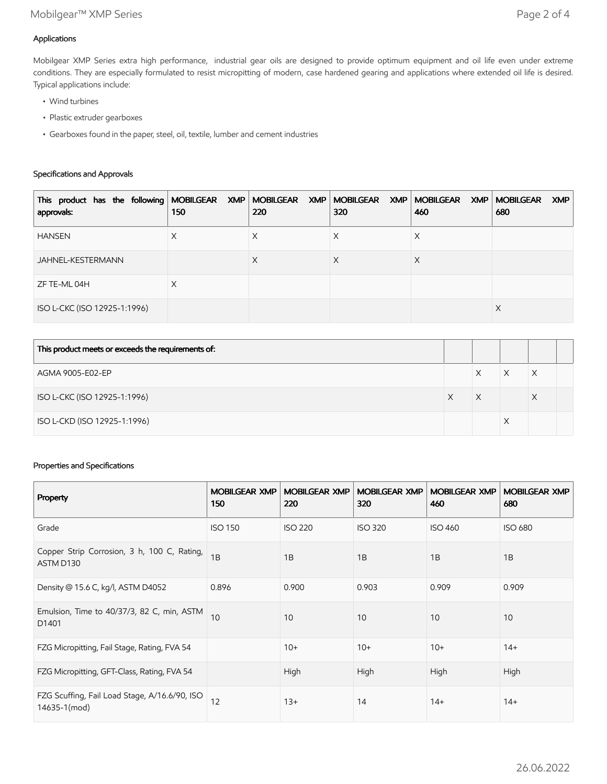## Applications

Mobilgear XMP Series extra high performance, industrial gear oils are designed to provide optimum equipment and oil life even under extreme conditions. They are especially formulated to resist micropitting of modern, case hardened gearing and applications where extended oil life is desired. Typical applications include:

- Wind turbines
- Plastic extruder gearboxes
- Gearboxes found in the paper, steel, oil, textile, lumber and cement industries

#### Specifications and Approvals

| This product has the following   MOBILGEAR XMP   MOBILGEAR XMP   MOBILGEAR XMP   MOBILGEAR XMP  <br>approvals: | 150 | 220 | 320 | 460 | <b>MOBILGEAR</b><br><b>XMP</b><br>680 |
|----------------------------------------------------------------------------------------------------------------|-----|-----|-----|-----|---------------------------------------|
| <b>HANSEN</b>                                                                                                  | X   | Х   | ∧   | Х   |                                       |
| JAHNEL-KESTERMANN                                                                                              |     | X   | Х   | Χ   |                                       |
| ZF TE-ML 04H                                                                                                   | X   |     |     |     |                                       |
| ISO L-CKC (ISO 12925-1:1996)                                                                                   |     |     |     |     | X                                     |

| This product meets or exceeds the requirements of: |   |   |  |
|----------------------------------------------------|---|---|--|
| AGMA 9005-E02-EP                                   | Χ | X |  |
| ISO L-CKC (ISO 12925-1:1996)                       | Χ | Х |  |
| ISO L-CKD (ISO 12925-1:1996)                       |   |   |  |

#### Properties and Specifications

| Property                                                      | <b>MOBILGEAR XMP</b><br>150 | <b>MOBILGEAR XMP</b><br>220 | <b>MOBILGEAR XMP</b><br>320 | <b>MOBILGEAR XMP</b><br>460 | <b>MOBILGEAR XMP</b><br>680 |
|---------------------------------------------------------------|-----------------------------|-----------------------------|-----------------------------|-----------------------------|-----------------------------|
| Grade                                                         | <b>ISO 150</b>              | <b>ISO 220</b>              | <b>ISO 320</b>              | <b>ISO 460</b>              | <b>ISO 680</b>              |
| Copper Strip Corrosion, 3 h, 100 C, Rating,<br>ASTM D130      | 1B                          | 1B                          | 1B                          | 1B                          | 1B                          |
| Density @ 15.6 C, kg/l, ASTM D4052                            | 0.896                       | 0.900                       | 0.903                       | 0.909                       | 0.909                       |
| Emulsion, Time to 40/37/3, 82 C, min, ASTM<br>D1401           | 10                          | 10                          | 10                          | 10                          | 10                          |
| FZG Micropitting, Fail Stage, Rating, FVA 54                  |                             | $10+$                       | $10+$                       | $10+$                       | $14+$                       |
| FZG Micropitting, GFT-Class, Rating, FVA 54                   |                             | High                        | High                        | High                        | High                        |
| FZG Scuffing, Fail Load Stage, A/16.6/90, ISO<br>14635-1(mod) | 12                          | $13+$                       | 14                          | $14+$                       | $14+$                       |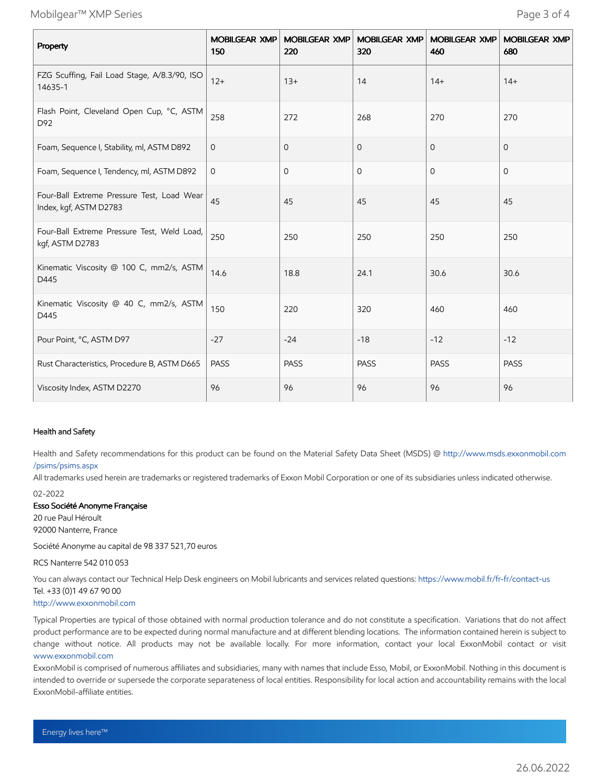Mobilgear™ XMP Series Page 3 of 4

| Property                                                             | 150         | MOBILGEAR XMP MOBILGEAR XMP<br>220 | <b>MOBILGEAR XMP</b><br>320 | <b>MOBILGEAR XMP</b><br>460 | <b>MOBILGEAR XMP</b><br>680 |
|----------------------------------------------------------------------|-------------|------------------------------------|-----------------------------|-----------------------------|-----------------------------|
| FZG Scuffing, Fail Load Stage, A/8.3/90, ISO<br>14635-1              | $12+$       | $13+$                              | 14                          | $14+$                       | $14+$                       |
| Flash Point, Cleveland Open Cup, °C, ASTM<br>D92                     | 258         | 272                                | 268                         | 270                         | 270                         |
| Foam, Sequence I, Stability, ml, ASTM D892                           | $\mathbf 0$ | 0                                  | $\mathbf 0$                 | $\mathbf{0}$                | $\mathbf{0}$                |
| Foam, Sequence I, Tendency, ml, ASTM D892                            | 0           | 0                                  | 0                           | $\mathbf{O}$                | $\mathbf{O}$                |
| Four-Ball Extreme Pressure Test, Load Wear<br>Index, kgf, ASTM D2783 | 45          | 45                                 | 45                          | 45                          | 45                          |
| Four-Ball Extreme Pressure Test, Weld Load,<br>kgf, ASTM D2783       | 250         | 250                                | 250                         | 250                         | 250                         |
| Kinematic Viscosity @ 100 C, mm2/s, ASTM<br>D445                     | 14.6        | 18.8                               | 24.1                        | 30.6                        | 30.6                        |
| Kinematic Viscosity @ 40 C, mm2/s, ASTM<br>D445                      | 150         | 220                                | 320                         | 460                         | 460                         |
| Pour Point, °C, ASTM D97                                             | $-27$       | $-24$                              | $-18$                       | $-12$                       | $-12$                       |
| Rust Characteristics, Procedure B, ASTM D665                         | <b>PASS</b> | <b>PASS</b>                        | <b>PASS</b>                 | <b>PASS</b>                 | <b>PASS</b>                 |
| Viscosity Index, ASTM D2270                                          | 96          | 96                                 | 96                          | 96                          | 96                          |

#### Health and Safety

Health and Safety recommendations for this product can be found on the Material Safety Data Sheet (MSDS) @ [http://www.msds.exxonmobil.com](http://www.msds.exxonmobil.com/psims/psims.aspx) /psims/psims.aspx

All trademarks used herein are trademarks or registered trademarks of Exxon Mobil Corporation or one of its subsidiaries unless indicated otherwise.

02-2022

#### Esso Société Anonyme Française

20 rue Paul Héroult 92000 Nanterre, France

Société Anonyme au capital de 98 337 521,70 euros

#### RCS Nanterre 542 010 053

You can always contact our Technical Help Desk engineers on Mobil lubricants and services related questions:<https://www.mobil.fr/fr-fr/contact-us> Tel. +33 (0)1 49 67 90 00

## [http://www.exxonmobil.com](http://www.exxonmobil.com/)

Typical Properties are typical of those obtained with normal production tolerance and do not constitute a specification. Variations that do not affect product performance are to be expected during normal manufacture and at different blending locations. The information contained herein is subject to change without notice. All products may not be available locally. For more information, contact your local ExxonMobil contact or visit [www.exxonmobil.com](http://www.exxonmobil.com/)

ExxonMobil is comprised of numerous affiliates and subsidiaries, many with names that include Esso, Mobil, or ExxonMobil. Nothing in this document is intended to override or supersede the corporate separateness of local entities. Responsibility for local action and accountability remains with the local ExxonMobil-affiliate entities.